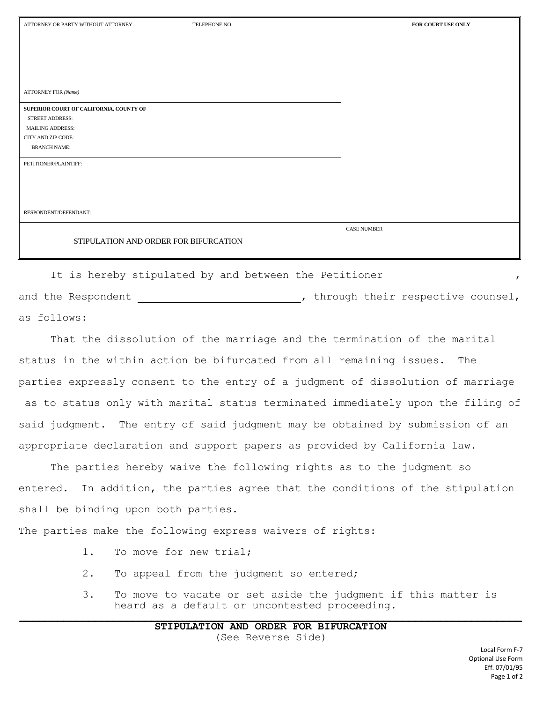| ATTORNEY OR PARTY WITHOUT ATTORNEY      | TELEPHONE NO. | FOR COURT USE ONLY |
|-----------------------------------------|---------------|--------------------|
|                                         |               |                    |
|                                         |               |                    |
|                                         |               |                    |
|                                         |               |                    |
|                                         |               |                    |
| <b>ATTORNEY FOR (Name)</b>              |               |                    |
| SUPERIOR COURT OF CALIFORNIA, COUNTY OF |               |                    |
| STREET ADDRESS:                         |               |                    |
| <b>MAILING ADDRESS:</b>                 |               |                    |
| CITY AND ZIP CODE:                      |               |                    |
| <b>BRANCH NAME:</b>                     |               |                    |
| PETITIONER/PLAINTIFF:                   |               |                    |
|                                         |               |                    |
|                                         |               |                    |
|                                         |               |                    |
| RESPONDENT/DEFENDANT:                   |               |                    |
|                                         |               | <b>CASE NUMBER</b> |
| STIPULATION AND ORDER FOR BIFURCATION   |               |                    |
|                                         |               |                    |
|                                         |               |                    |

It is hereby stipulated by and between the Petitioner and the Respondent  $\qquad \qquad$ , through their respective counsel, as follows:

That the dissolution of the marriage and the termination of the marital status in the within action be bifurcated from all remaining issues. The parties expressly consent to the entry of a judgment of dissolution of marriage as to status only with marital status terminated immediately upon the filing of said judgment. The entry of said judgment may be obtained by submission of an appropriate declaration and support papers as provided by California law.

The parties hereby waive the following rights as to the judgment so entered. In addition, the parties agree that the conditions of the stipulation shall be binding upon both parties.

The parties make the following express waivers of rights:

- 1. To move for new trial;
- 2. To appeal from the judgment so entered;
- 3. To move to vacate or set aside the judgment if this matter is heard as a default or uncontested proceeding.